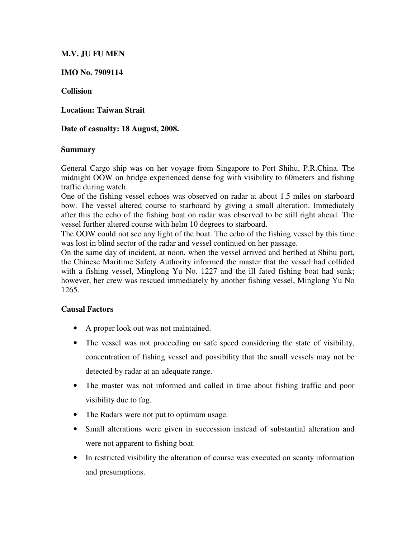## **M.V. JU FU MEN**

## **IMO No. 7909114**

## **Collision**

**Location: Taiwan Strait** 

### **Date of casualty: 18 August, 2008.**

#### **Summary**

General Cargo ship was on her voyage from Singapore to Port Shihu, P.R.China. The midnight OOW on bridge experienced dense fog with visibility to 60meters and fishing traffic during watch.

One of the fishing vessel echoes was observed on radar at about 1.5 miles on starboard bow. The vessel altered course to starboard by giving a small alteration. Immediately after this the echo of the fishing boat on radar was observed to be still right ahead. The vessel further altered course with helm 10 degrees to starboard.

The OOW could not see any light of the boat. The echo of the fishing vessel by this time was lost in blind sector of the radar and vessel continued on her passage.

On the same day of incident, at noon, when the vessel arrived and berthed at Shihu port, the Chinese Maritime Safety Authority informed the master that the vessel had collided with a fishing vessel, Minglong Yu No. 1227 and the ill fated fishing boat had sunk; however, her crew was rescued immediately by another fishing vessel, Minglong Yu No 1265.

# **Causal Factors**

- A proper look out was not maintained.
- The vessel was not proceeding on safe speed considering the state of visibility, concentration of fishing vessel and possibility that the small vessels may not be detected by radar at an adequate range.
- The master was not informed and called in time about fishing traffic and poor visibility due to fog.
- The Radars were not put to optimum usage.
- Small alterations were given in succession instead of substantial alteration and were not apparent to fishing boat.
- In restricted visibility the alteration of course was executed on scanty information and presumptions.